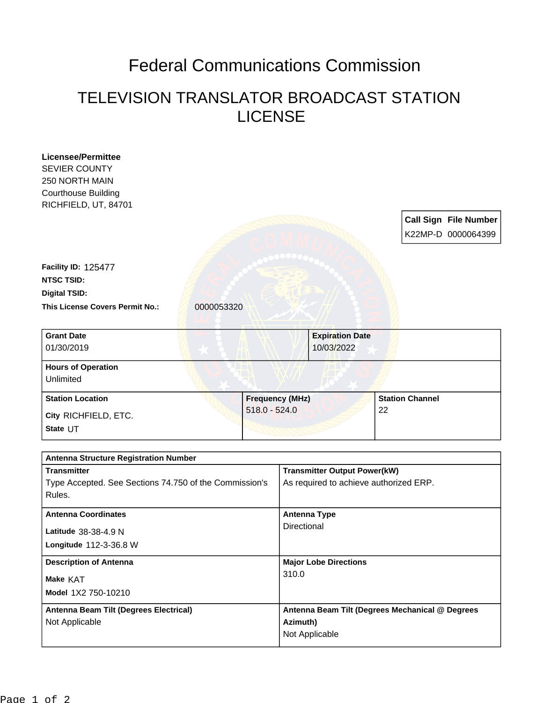## Federal Communications Commission

## TELEVISION TRANSLATOR BROADCAST STATION LICENSE

| <b>Licensee/Permittee</b>                                          |                        |                 |                                                                               |                                                 |                        |  |                              |
|--------------------------------------------------------------------|------------------------|-----------------|-------------------------------------------------------------------------------|-------------------------------------------------|------------------------|--|------------------------------|
| <b>SEVIER COUNTY</b>                                               |                        |                 |                                                                               |                                                 |                        |  |                              |
| 250 NORTH MAIN                                                     |                        |                 |                                                                               |                                                 |                        |  |                              |
| <b>Courthouse Building</b>                                         |                        |                 |                                                                               |                                                 |                        |  |                              |
| RICHFIELD, UT, 84701                                               |                        |                 |                                                                               |                                                 |                        |  |                              |
|                                                                    |                        |                 |                                                                               |                                                 |                        |  | <b>Call Sign File Number</b> |
|                                                                    |                        |                 |                                                                               |                                                 |                        |  | K22MP-D 0000064399           |
|                                                                    |                        |                 |                                                                               |                                                 |                        |  |                              |
| <b>Facility ID: 125477</b>                                         |                        |                 |                                                                               |                                                 |                        |  |                              |
| <b>NTSC TSID:</b>                                                  |                        |                 |                                                                               |                                                 |                        |  |                              |
| <b>Digital TSID:</b>                                               |                        |                 |                                                                               |                                                 |                        |  |                              |
| <b>This License Covers Permit No.:</b>                             | 0000053320             |                 |                                                                               |                                                 |                        |  |                              |
| <b>Grant Date</b>                                                  |                        |                 |                                                                               | <b>Expiration Date</b>                          |                        |  |                              |
| 01/30/2019                                                         |                        |                 |                                                                               | 10/03/2022                                      |                        |  |                              |
| <b>Hours of Operation</b>                                          |                        |                 |                                                                               |                                                 |                        |  |                              |
| Unlimited                                                          |                        |                 |                                                                               |                                                 |                        |  |                              |
| <b>Station Location</b>                                            | <b>Frequency (MHz)</b> |                 |                                                                               |                                                 | <b>Station Channel</b> |  |                              |
| City RICHFIELD, ETC.                                               |                        | $518.0 - 524.0$ | 22                                                                            |                                                 |                        |  |                              |
| State UT                                                           |                        |                 |                                                                               |                                                 |                        |  |                              |
|                                                                    |                        |                 |                                                                               |                                                 |                        |  |                              |
| <b>Antenna Structure Registration Number</b><br><b>Transmitter</b> |                        |                 |                                                                               |                                                 |                        |  |                              |
| Type Accepted. See Sections 74.750 of the Commission's             |                        |                 | <b>Transmitter Output Power(kW)</b><br>As required to achieve authorized ERP. |                                                 |                        |  |                              |
| Rules.                                                             |                        |                 |                                                                               |                                                 |                        |  |                              |
| <b>Antenna Coordinates</b>                                         |                        |                 | <b>Antenna Type</b>                                                           |                                                 |                        |  |                              |
| Latitude 38-38-4.9 N                                               |                        |                 | Directional                                                                   |                                                 |                        |  |                              |
| Longitude 112-3-36.8 W                                             |                        |                 |                                                                               |                                                 |                        |  |                              |
|                                                                    |                        |                 |                                                                               |                                                 |                        |  |                              |
| <b>Description of Antenna</b><br>Make KAT                          |                        |                 | <b>Major Lobe Directions</b>                                                  |                                                 |                        |  |                              |
|                                                                    |                        |                 | 310.0                                                                         |                                                 |                        |  |                              |
| Model 1X2 750-10210                                                |                        |                 |                                                                               |                                                 |                        |  |                              |
| Antenna Beam Tilt (Degrees Electrical)                             |                        |                 |                                                                               | Antenna Beam Tilt (Degrees Mechanical @ Degrees |                        |  |                              |
| Not Applicable                                                     |                        |                 | Azimuth)                                                                      |                                                 |                        |  |                              |
|                                                                    |                        |                 | Not Applicable                                                                |                                                 |                        |  |                              |